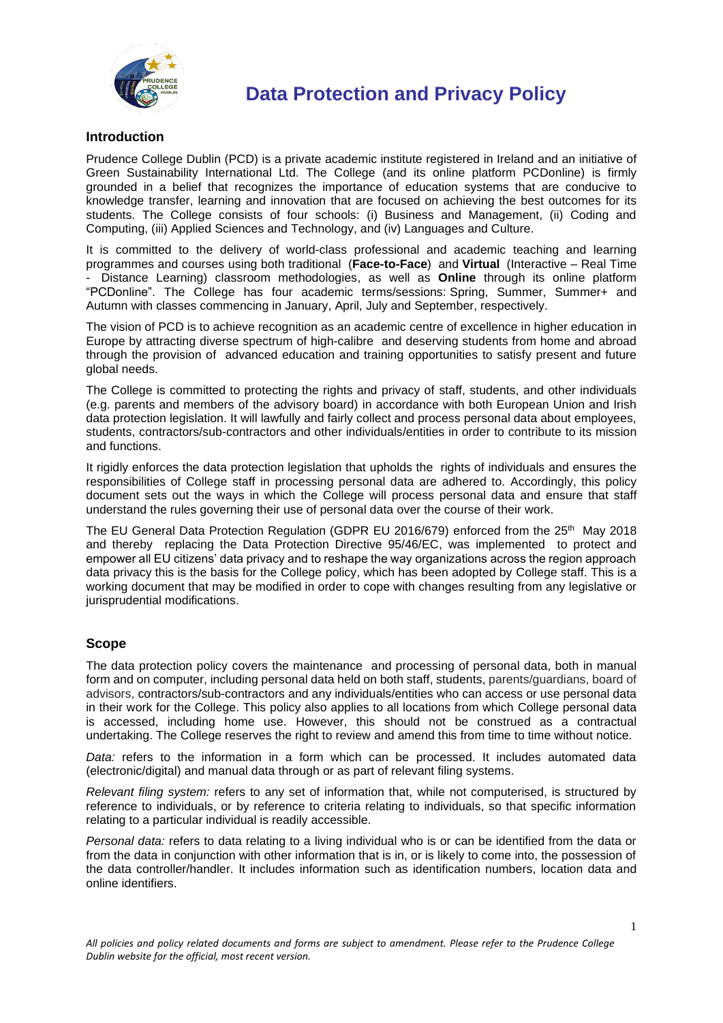

### **Introduction**

Prudence College Dublin (PCD) is a private academic institute registered in Ireland and an initiative of Green Sustainability International Ltd. The College (and its online platform PCDonline) is firmly grounded in a belief that recognizes the importance of education systems that are conducive to knowledge transfer, learning and innovation that are focused on achieving the best outcomes for its students. The College consists of four schools: (i) Business and Management, (ii) Coding and Computing, (iii) Applied Sciences and Technology, and (iv) Languages and Culture.

It is committed to the delivery of world-class professional and academic teaching and learning programmes and courses using both traditional (**Face-to-Face**) and **Virtual** (Interactive – Real Time Distance Learning) classroom methodologies, as well as **Online** through its online platform "PCDonline". The College has four academic terms/sessions: Spring, Summer, Summer+ and Autumn with classes commencing in January, April, July and September, respectively.

The vision of PCD is to achieve recognition as an academic centre of excellence in higher education in Europe by attracting diverse spectrum of high-calibre and deserving students from home and abroad through the provision of advanced education and training opportunities to satisfy present and future global needs.

The College is committed to protecting the rights and privacy of staff, students, and other individuals (e.g. parents and members of the advisory board) in accordance with both European Union and Irish data protection legislation. It will lawfully and fairly collect and process personal data about employees, students, contractors/sub-contractors and other individuals/entities in order to contribute to its mission and functions.

It rigidly enforces the data protection legislation that upholds the rights of individuals and ensures the responsibilities of College staff in processing personal data are adhered to. Accordingly, this policy document sets out the ways in which the College will process personal data and ensure that staff understand the rules governing their use of personal data over the course of their work.

The EU General Data Protection Regulation (GDPR EU 2016/679) enforced from the 25<sup>th</sup> May 2018 and thereby replacing the Data Protection Directive 95/46/EC, was implemented to protect and empower all EU citizens' data privacy and to reshape the way organizations across the region approach data privacy this is the basis for the College policy, which has been adopted by College staff. This is a working document that may be modified in order to cope with changes resulting from any legislative or jurisprudential modifications.

### **Scope**

The data protection policy covers the maintenance and processing of personal data, both in manual form and on computer, including personal data held on both staff, students, parents/guardians, board of advisors, contractors/sub-contractors and any individuals/entities who can access or use personal data in their work for the College. This policy also applies to all locations from which College personal data is accessed, including home use. However, this should not be construed as a contractual undertaking. The College reserves the right to review and amend this from time to time without notice.

*Data:* refers to the information in a form which can be processed. It includes automated data (electronic/digital) and manual data through or as part of relevant filing systems.

*Relevant filing system:* refers to any set of information that, while not computerised, is structured by reference to individuals, or by reference to criteria relating to individuals, so that specific information relating to a particular individual is readily accessible.

*Personal data:* refers to data relating to a living individual who is or can be identified from the data or from the data in conjunction with other information that is in, or is likely to come into, the possession of the data controller/handler. It includes information such as identification numbers, location data and online identifiers.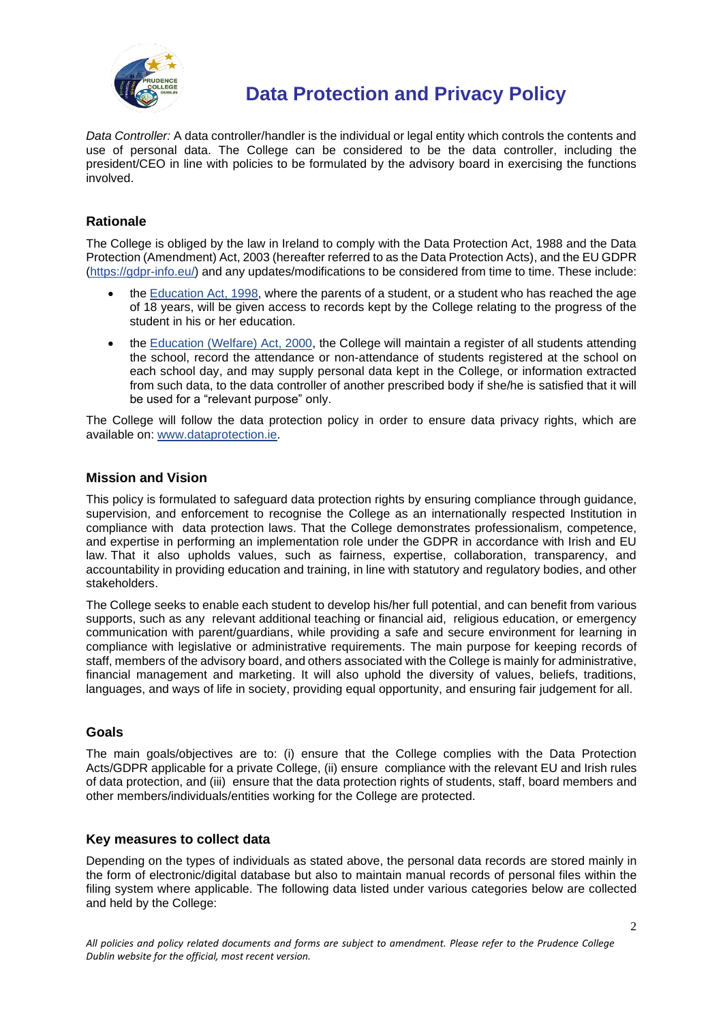

*Data Controller:* A data controller/handler is the individual or legal entity which controls the contents and use of personal data. The College can be considered to be the data controller, including the president/CEO in line with policies to be formulated by the advisory board in exercising the functions involved.

## **Rationale**

The College is obliged by the law in Ireland to comply with the Data Protection Act, 1988 and the Data Protection (Amendment) Act, 2003 (hereafter referred to as the Data Protection Acts), and the EU GDPR [\(https://gdpr-info.eu/\)](https://gdpr-info.eu/) and any updates/modifications to be considered from time to time. These include:

- the [Education Act, 1998,](http://acts2.oireachtas.ie/zza51y1998.1.html) where the parents of a student, or a student who has reached the age of 18 years, will be given access to records kept by the College relating to the progress of the student in his or her education.
- the [Education \(Welfare\) Act, 2000,](http://www.oireachtas.ie/documents/bills28/acts/2000/a2200.pdf) the College will maintain a register of all students attending the school, record the attendance or non-attendance of students registered at the school on each school day, and may supply personal data kept in the College, or information extracted from such data, to the data controller of another prescribed body if she/he is satisfied that it will be used for a "relevant purpose" only.

The College will follow the data protection policy in order to ensure data privacy rights, which are available on: [www.dataprotection.ie.](http://www.dataprotection.ie/)

### **Mission and Vision**

This policy is formulated to safeguard data protection rights by ensuring compliance through guidance, supervision, and enforcement to recognise the College as an internationally respected Institution in compliance with data protection laws. That the College demonstrates professionalism, competence, and expertise in performing an implementation role under the GDPR in accordance with Irish and EU law. That it also upholds values, such as fairness, expertise, collaboration, transparency, and accountability in providing education and training, in line with statutory and regulatory bodies, and other stakeholders.

The College seeks to enable each student to develop his/her full potential, and can benefit from various supports, such as any relevant additional teaching or financial aid, religious education, or emergency communication with parent/guardians, while providing a safe and secure environment for learning in compliance with legislative or administrative requirements. The main purpose for keeping records of staff, members of the advisory board, and others associated with the College is mainly for administrative, financial management and marketing. It will also uphold the diversity of values, beliefs, traditions, languages, and ways of life in society, providing equal opportunity, and ensuring fair judgement for all.

#### **Goals**

The main goals/objectives are to: (i) ensure that the College complies with the Data Protection Acts/GDPR applicable for a private College, (ii) ensure compliance with the relevant EU and Irish rules of data protection, and (iii) ensure that the data protection rights of students, staff, board members and other members/individuals/entities working for the College are protected.

#### **Key measures to collect data**

Depending on the types of individuals as stated above, the personal data records are stored mainly in the form of electronic/digital database but also to maintain manual records of personal files within the filing system where applicable. The following data listed under various categories below are collected and held by the College: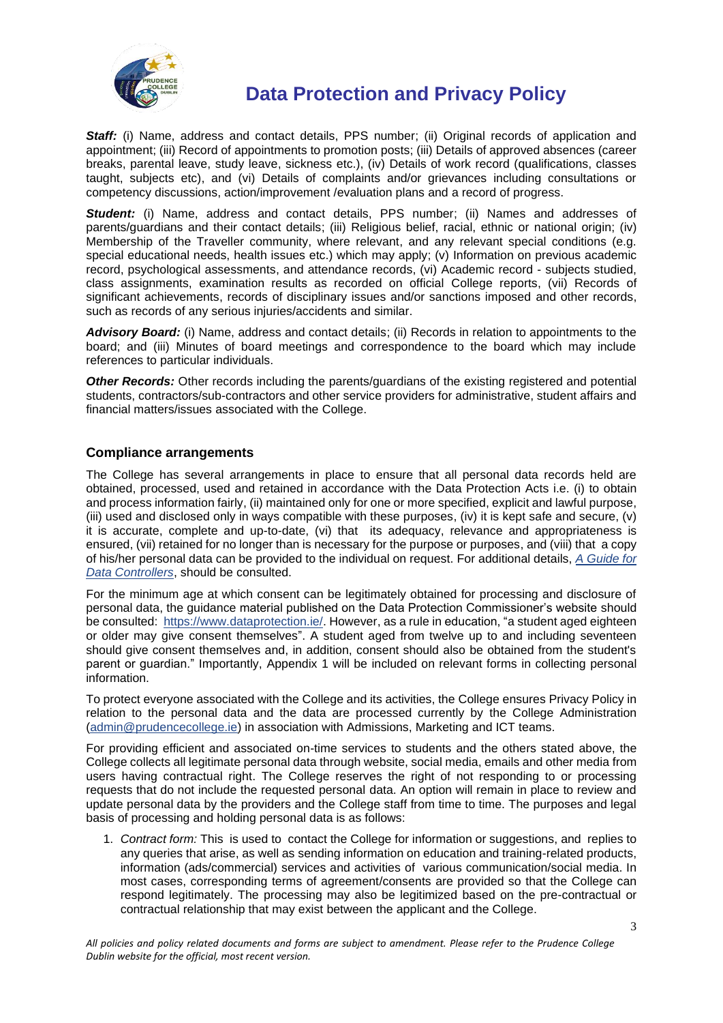

*Staff:* (i) Name, address and contact details, PPS number; (ii) Original records of application and appointment; (iii) Record of appointments to promotion posts; (iii) Details of approved absences (career breaks, parental leave, study leave, sickness etc.), (iv) Details of work record (qualifications, classes taught, subjects etc), and (vi) Details of complaints and/or grievances including consultations or competency discussions, action/improvement /evaluation plans and a record of progress.

**Student:** (i) Name, address and contact details, PPS number; (ii) Names and addresses of parents/guardians and their contact details; (iii) Religious belief, racial, ethnic or national origin; (iv) Membership of the Traveller community, where relevant, and any relevant special conditions (e.g. special educational needs, health issues etc.) which may apply; (v) Information on previous academic record, psychological assessments, and attendance records, (vi) Academic record - subjects studied, class assignments, examination results as recorded on official College reports, (vii) Records of significant achievements, records of disciplinary issues and/or sanctions imposed and other records, such as records of any serious injuries/accidents and similar.

*Advisory Board:* (i) Name, address and contact details; (ii) Records in relation to appointments to the board; and (iii) Minutes of board meetings and correspondence to the board which may include references to particular individuals.

*Other Records:* Other records including the parents/guardians of the existing registered and potential students, contractors/sub-contractors and other service providers for administrative, student affairs and financial matters/issues associated with the College.

### **Compliance arrangements**

The College has several arrangements in place to ensure that all personal data records held are obtained, processed, used and retained in accordance with the Data Protection Acts i.e. (i) to obtain and process information fairly, (ii) maintained only for one or more specified, explicit and lawful purpose, (iii) used and disclosed only in ways compatible with these purposes, (iv) it is kept safe and secure, (v) it is accurate, complete and up-to-date, (vi) that its adequacy, relevance and appropriateness is ensured, (vii) retained for no longer than is necessary for the purpose or purposes, and (viii) that a copy of his/her personal data can be provided to the individual on request. For additional details, *[A Guide for](http://www.dataprotection.ie/documents/guidance/AGuideforDCs.pdf)  [Data Controllers](http://www.dataprotection.ie/documents/guidance/AGuideforDCs.pdf)*, should be consulted.

For the minimum age at which consent can be legitimately obtained for processing and disclosure of personal data, the guidance material published on the Data Protection Commissioner's website should be consulted: [https://www.dataprotection.ie/.](https://www.dataprotection.ie/) However, as a rule in education, "a student aged eighteen or older may give consent themselves". A student aged from twelve up to and including seventeen should give consent themselves and, in addition, consent should also be obtained from the student's parent or guardian." Importantly, Appendix 1 will be included on relevant forms in collecting personal information.

To protect everyone associated with the College and its activities, the College ensures Privacy Policy in relation to the personal data and the data are processed currently by the College Administration [\(admin@prudencecollege.ie\)](mailto:admin@prudencecollege.ie) in association with Admissions, Marketing and ICT teams.

For providing efficient and associated on-time services to students and the others stated above, the College collects all legitimate personal data through website, social media, emails and other media from users having contractual right. The College reserves the right of not responding to or processing requests that do not include the requested personal data. An option will remain in place to review and update personal data by the providers and the College staff from time to time. The purposes and legal basis of processing and holding personal data is as follows:

1. *Contract form:* This is used to contact the College for information or suggestions, and replies to any queries that arise, as well as sending information on education and training-related products, information (ads/commercial) services and activities of various communication/social media. In most cases, corresponding terms of agreement/consents are provided so that the College can respond legitimately. The processing may also be legitimized based on the pre-contractual or contractual relationship that may exist between the applicant and the College.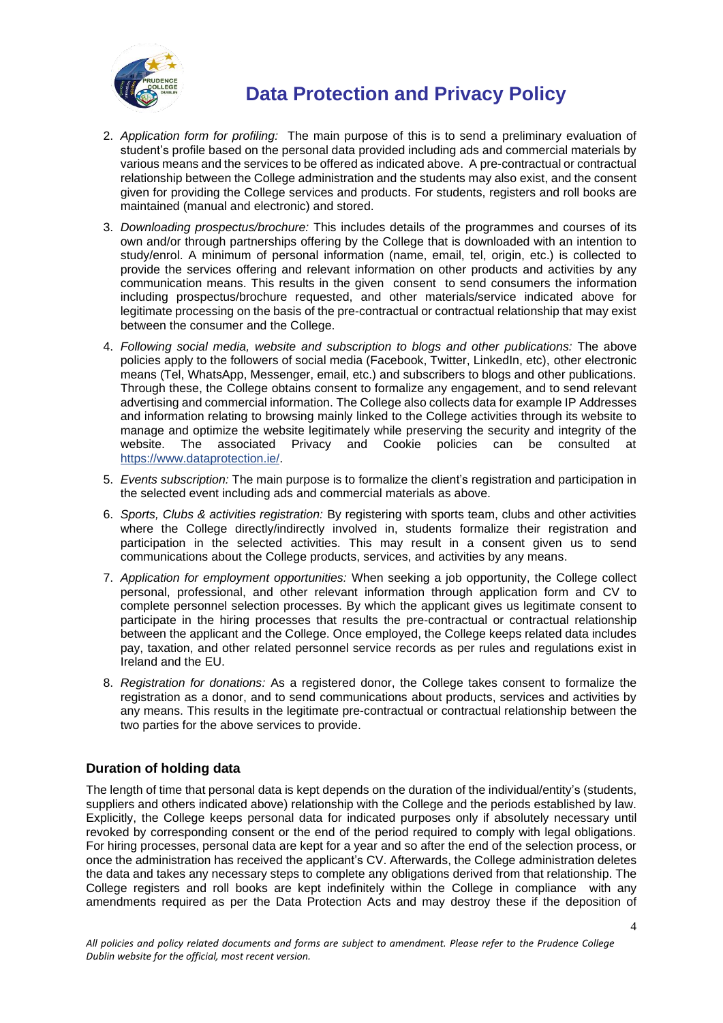

- 2. *Application form for profiling:* The main purpose of this is to send a preliminary evaluation of student's profile based on the personal data provided including ads and commercial materials by various means and the services to be offered as indicated above. A pre-contractual or contractual relationship between the College administration and the students may also exist, and the consent given for providing the College services and products. For students, registers and roll books are maintained (manual and electronic) and stored.
- 3. *Downloading prospectus/brochure:* This includes details of the programmes and courses of its own and/or through partnerships offering by the College that is downloaded with an intention to study/enrol. A minimum of personal information (name, email, tel, origin, etc.) is collected to provide the services offering and relevant information on other products and activities by any communication means. This results in the given consent to send consumers the information including prospectus/brochure requested, and other materials/service indicated above for legitimate processing on the basis of the pre-contractual or contractual relationship that may exist between the consumer and the College.
- 4. *Following social media, website and subscription to blogs and other publications:* The above policies apply to the followers of social media (Facebook, Twitter, LinkedIn, etc), other electronic means (Tel, WhatsApp, Messenger, email, etc.) and subscribers to blogs and other publications. Through these, the College obtains consent to formalize any engagement, and to send relevant advertising and commercial information. The College also collects data for example IP Addresses and information relating to browsing mainly linked to the College activities through its website to manage and optimize the website legitimately while preserving the security and integrity of the website. The associated Privacy and Cookie policies can be consulted at [https://www.dataprotection.ie/.](https://www.dataprotection.ie/)
- 5. *Events subscription:* The main purpose is to formalize the client's registration and participation in the selected event including ads and commercial materials as above.
- 6. *Sports, Clubs & activities registration:* By registering with sports team, clubs and other activities where the College directly/indirectly involved in, students formalize their registration and participation in the selected activities. This may result in a consent given us to send communications about the College products, services, and activities by any means.
- 7. *Application for employment opportunities:* When seeking a job opportunity, the College collect personal, professional, and other relevant information through application form and CV to complete personnel selection processes. By which the applicant gives us legitimate consent to participate in the hiring processes that results the pre-contractual or contractual relationship between the applicant and the College. Once employed, the College keeps related data includes pay, taxation, and other related personnel service records as per rules and regulations exist in Ireland and the EU.
- 8. *Registration for donations:* As a registered donor, the College takes consent to formalize the registration as a donor, and to send communications about products, services and activities by any means. This results in the legitimate pre-contractual or contractual relationship between the two parties for the above services to provide.

### **Duration of holding data**

The length of time that personal data is kept depends on the duration of the individual/entity's (students, suppliers and others indicated above) relationship with the College and the periods established by law. Explicitly, the College keeps personal data for indicated purposes only if absolutely necessary until revoked by corresponding consent or the end of the period required to comply with legal obligations. For hiring processes, personal data are kept for a year and so after the end of the selection process, or once the administration has received the applicant's CV. Afterwards, the College administration deletes the data and takes any necessary steps to complete any obligations derived from that relationship. The College registers and roll books are kept indefinitely within the College in compliance with any amendments required as per the Data Protection Acts and may destroy these if the deposition of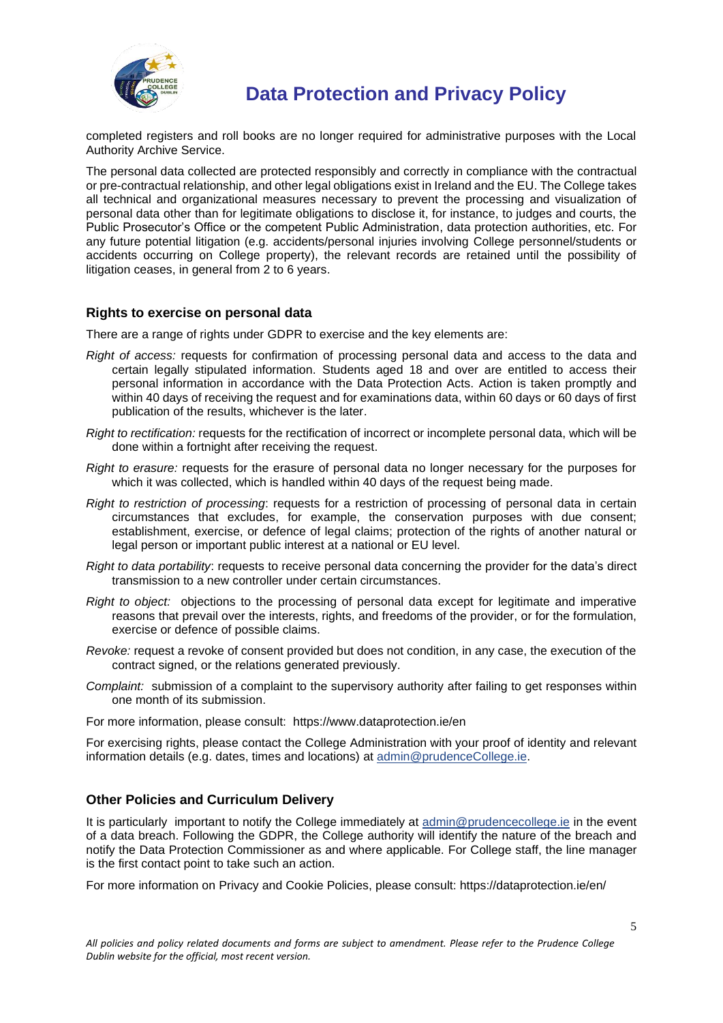

completed registers and roll books are no longer required for administrative purposes with the Local Authority Archive Service.

The personal data collected are protected responsibly and correctly in compliance with the contractual or pre-contractual relationship, and other legal obligations exist in Ireland and the EU. The College takes all technical and organizational measures necessary to prevent the processing and visualization of personal data other than for legitimate obligations to disclose it, for instance, to judges and courts, the Public Prosecutor's Office or the competent Public Administration, data protection authorities, etc. For any future potential litigation (e.g. accidents/personal injuries involving College personnel/students or accidents occurring on College property), the relevant records are retained until the possibility of litigation ceases, in general from 2 to 6 years.

#### **Rights to exercise on personal data**

There are a range of rights under GDPR to exercise and the key elements are:

- *Right of access:* requests for confirmation of processing personal data and access to the data and certain legally stipulated information. Students aged 18 and over are entitled to access their personal information in accordance with the Data Protection Acts. Action is taken promptly and within 40 days of receiving the request and for examinations data, within 60 days or 60 days of first publication of the results, whichever is the later.
- *Right to rectification:* requests for the rectification of incorrect or incomplete personal data, which will be done within a fortnight after receiving the request.
- *Right to erasure:* requests for the erasure of personal data no longer necessary for the purposes for which it was collected, which is handled within 40 days of the request being made.
- *Right to restriction of processing*: requests for a restriction of processing of personal data in certain circumstances that excludes, for example, the conservation purposes with due consent; establishment, exercise, or defence of legal claims; protection of the rights of another natural or legal person or important public interest at a national or EU level.
- *Right to data portability*: requests to receive personal data concerning the provider for the data's direct transmission to a new controller under certain circumstances.
- *Right to object:* objections to the processing of personal data except for legitimate and imperative reasons that prevail over the interests, rights, and freedoms of the provider, or for the formulation, exercise or defence of possible claims.
- *Revoke:* request a revoke of consent provided but does not condition, in any case, the execution of the contract signed, or the relations generated previously.
- *Complaint:* submission of a complaint to the supervisory authority after failing to get responses within one month of its submission.

For more information, please consult: https://www.dataprotection.ie/en

For exercising rights, please contact the College Administration with your proof of identity and relevant information details (e.g. dates, times and locations) at [admin@prudenceCollege.ie.](mailto:admin@prudencecollege.ie)

#### **Other Policies and Curriculum Delivery**

It is particularly important to notify the College immediately at [admin@prudencecollege.ie](mailto:admin@prudencecollege.ie) in the event of a data breach. Following the GDPR, the College authority will identify the nature of the breach and notify the Data Protection Commissioner as and where applicable. For College staff, the line manager is the first contact point to take such an action.

For more information on Privacy and Cookie Policies, please consult: https://dataprotection.ie/en/